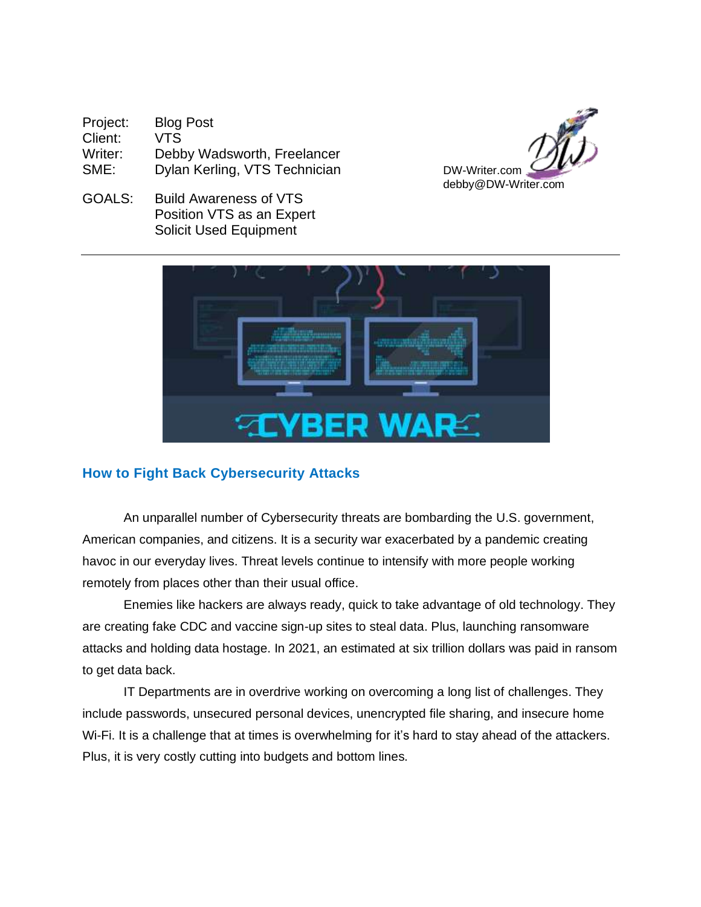| Project: | <b>Blog Post</b>              |
|----------|-------------------------------|
| Client:  | VTS                           |
| Writer:  | Debby Wadsworth, Freelancer   |
| SME:     | Dylan Kerling, VTS Technician |



GOALS: Build Awareness of VTS Position VTS as an Expert Solicit Used Equipment



# **How to Fight Back Cybersecurity Attacks**

An unparallel number of Cybersecurity threats are bombarding the U.S. government, American companies, and citizens. It is a security war exacerbated by a pandemic creating havoc in our everyday lives. Threat levels continue to intensify with more people working remotely from places other than their usual office.

Enemies like hackers are always ready, quick to take advantage of old technology. They are creating fake CDC and vaccine sign-up sites to steal data. Plus, launching ransomware attacks and holding data hostage. In 2021, an estimated at six trillion dollars was paid in ransom to get data back.

IT Departments are in overdrive working on overcoming a long list of challenges. They include passwords, unsecured personal devices, unencrypted file sharing, and insecure home Wi-Fi. It is a challenge that at times is overwhelming for it's hard to stay ahead of the attackers. Plus, it is very costly cutting into budgets and bottom lines.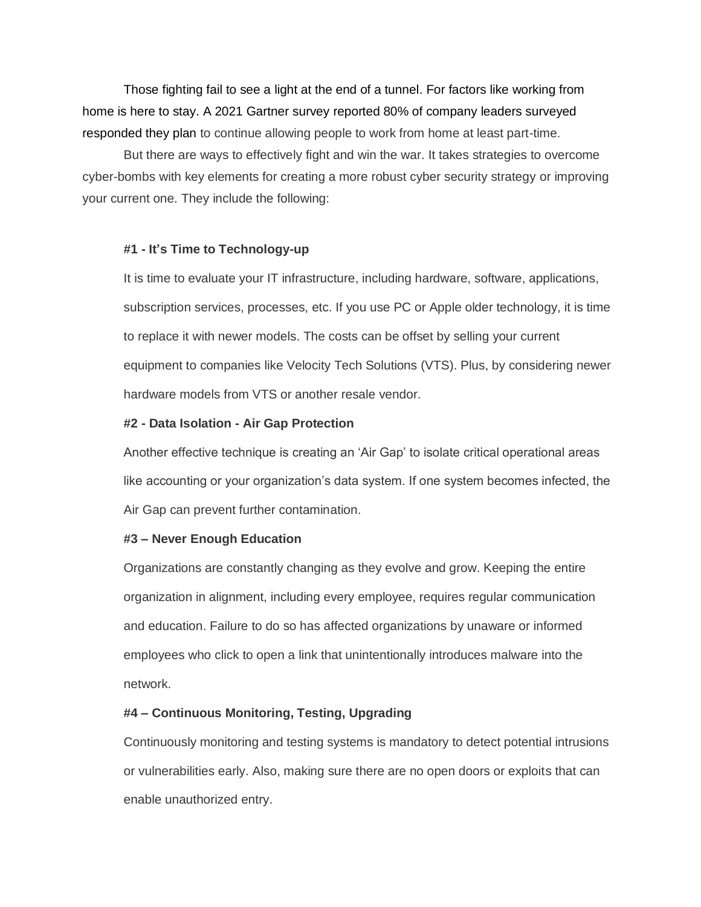Those fighting fail to see a light at the end of a tunnel. For factors like working from home is here to stay. A 2021 Gartner survey reported 80% of company leaders surveyed responded they plan to continue allowing people to work from home at least part-time.

But there are ways to effectively fight and win the war. It takes strategies to overcome cyber-bombs with key elements for creating a more robust cyber security strategy or improving your current one. They include the following:

#### **#1 - It's Time to Technology-up**

It is time to evaluate your IT infrastructure, including hardware, software, applications, subscription services, processes, etc. If you use PC or Apple older technology, it is time to replace it with newer models. The costs can be offset by selling your current equipment to companies like Velocity Tech Solutions (VTS). Plus, by considering newer hardware models from VTS or another resale vendor.

#### **#2 - Data Isolation - Air Gap Protection**

Another effective technique is creating an 'Air Gap' to isolate critical operational areas like accounting or your organization's data system. If one system becomes infected, the Air Gap can prevent further contamination.

### **#3 – Never Enough Education**

Organizations are constantly changing as they evolve and grow. Keeping the entire organization in alignment, including every employee, requires regular communication and education. Failure to do so has affected organizations by unaware or informed employees who click to open a link that unintentionally introduces malware into the network.

## **#4 – Continuous Monitoring, Testing, Upgrading**

Continuously monitoring and testing systems is mandatory to detect potential intrusions or vulnerabilities early. Also, making sure there are no open doors or exploits that can enable unauthorized entry.